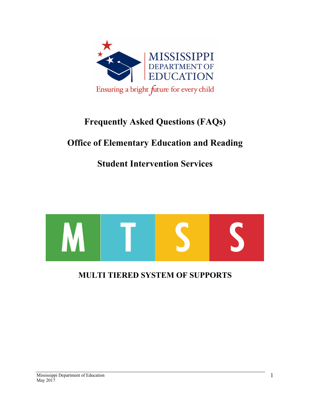

# **Frequently Asked Questions (FAQs)**

# **Office of Elementary Education and Reading**

### **Student Intervention Services**



### **MULTI TIERED SYSTEM OF SUPPORTS**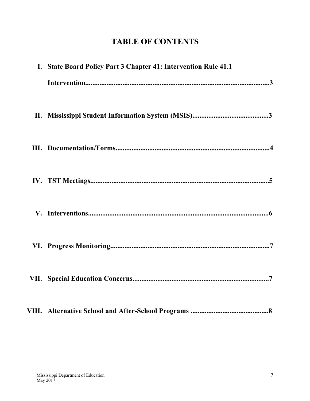## **TABLE OF CONTENTS**

| I. State Board Policy Part 3 Chapter 41: Intervention Rule 41.1 |
|-----------------------------------------------------------------|
|                                                                 |
|                                                                 |
|                                                                 |
|                                                                 |
|                                                                 |
|                                                                 |
|                                                                 |
|                                                                 |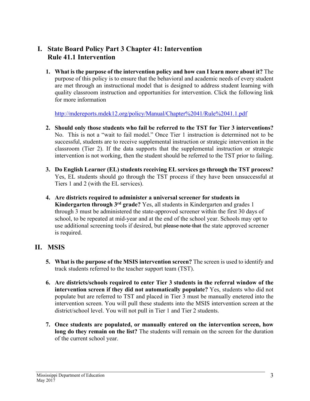#### **I. State Board Policy Part 3 Chapter 41: Intervention Rule 41.1 Intervention**

**1. What is the purpose of the intervention policy and how can I learn more about it?** The purpose of this policy is to ensure that the behavioral and academic needs of every student are met through an instructional model that is designed to address student learning with quality classroom instruction and opportunities for intervention. Click the following link for more information

http://mdereports.mdek12.org/policy/Manual/Chapter%2041/Rule%2041.1.pdf

- **2. Should only those students who fail be referred to the TST for Tier 3 interventions?** No. This is not a "wait to fail model." Once Tier 1 instruction is determined not to be successful, students are to receive supplemental instruction or strategic intervention in the classroom (Tier 2). If the data supports that the supplemental instruction or strategic intervention is not working, then the student should be referred to the TST prior to failing.
- **3. Do English Learner (EL) students receiving EL services go through the TST process?** Yes, EL students should go through the TST process if they have been unsuccessful at Tiers 1 and 2 (with the EL services).
- **4. Are districts required to administer a universal screener for students in Kindergarten through 3rd grade?** Yes, all students in Kindergarten and grades 1 through 3 must be administered the state-approved screener within the first 30 days of school, to be repeated at mid-year and at the end of the school year. Schools may opt to use additional screening tools if desired, but please note that the state approved screener is required.

#### **II. MSIS**

- **5. What is the purpose of the MSIS intervention screen?** The screen is used to identify and track students referred to the teacher support team (TST).
- **6. Are districts/schools required to enter Tier 3 students in the referral window of the intervention screen if they did not automatically populate?** Yes, students who did not populate but are referred to TST and placed in Tier 3 must be manually enetered into the intervention screen. You will pull these students into the MSIS intervention screen at the district/school level. You will not pull in Tier 1 and Tier 2 students.
- **7. Once students are populated, or manually entered on the intervention screen, how long do they remain on the list?** The students will remain on the screen for the duration of the current school year.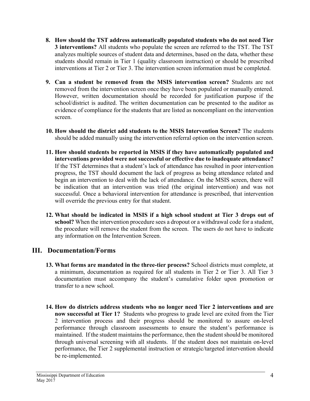- **8. How should the TST address automatically populated students who do not need Tier 3 interventions?** All students who populate the screen are referred to the TST. The TST analyzes multiple sources of student data and determines, based on the data, whether these students should remain in Tier 1 (quality classroom instruction) or should be prescribed interventions at Tier 2 or Tier 3. The intervention screen information must be completed.
- **9. Can a student be removed from the MSIS intervention screen?** Students are not removed from the intervention screen once they have been populated or manually entered. However, written documentation should be recorded for justification purpose if the school/district is audited. The written documentation can be presented to the auditor as evidence of compliance for the students that are listed as noncompliant on the intervention screen.
- **10. How should the district add students to the MSIS Intervention Screen?** The students should be added manually using the intervention referral option on the intervention screen.
- **11. How should students be reported in MSIS if they have automatically populated and interventions provided were not successful or effective due to inadequate attendance?** If the TST determines that a student's lack of attendance has resulted in poor intervention progress, the TST should document the lack of progress as being attendance related and begin an intervention to deal with the lack of attendance. On the MSIS screen, there will be indication that an intervention was tried (the original intervention) and was not successful. Once a behavioral intervention for attendance is prescribed, that intervention will override the previous entry for that student.
- **12. What should be indicated in MSIS if a high school student at Tier 3 drops out of school?** When the intervention procedure sees a dropout or a withdrawal code for a student, the procedure will remove the student from the screen. The users do not have to indicate any information on the Intervention Screen.

#### **III. Documentation/Forms**

- **13. What forms are mandated in the three-tier process?** School districts must complete, at a minimum, documentation as required for all students in Tier 2 or Tier 3. All Tier 3 documentation must accompany the student's cumulative folder upon promotion or transfer to a new school.
- **14. How do districts address students who no longer need Tier 2 interventions and are now successful at Tier 1?** Students who progress to grade level are exited from the Tier 2 intervention process and their progress should be monitored to assure on-level performance through classroom assessments to ensure the student's performance is maintained. If the student maintains the performance, then the student should be monitored through universal screening with all students. If the student does not maintain on-level performance, the Tier 2 supplemental instruction or strategic/targeted intervention should be re-implemented.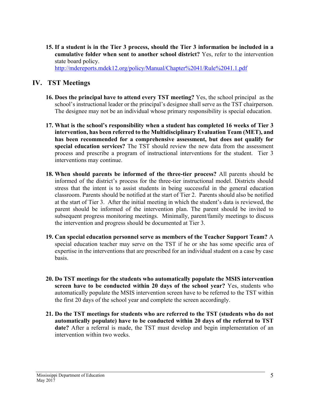**15. If a student is in the Tier 3 process, should the Tier 3 information be included in a cumulative folder when sent to another school district?** Yes, refer to the intervention state board policy.

http://mdereports.mdek12.org/policy/Manual/Chapter%2041/Rule%2041.1.pdf

#### **IV. TST Meetings**

- **16. Does the principal have to attend every TST meeting?** Yes, the school principal as the school's instructional leader or the principal's designee shall serve as the TST chairperson. The designee may not be an individual whose primary responsibility is special education.
- **17. What is the school's responsibility when a student has completed 16 weeks of Tier 3 intervention, has been referred to the Multidisciplinary Evaluation Team (MET), and has been recommended for a comprehensive assessment, but does not qualify for special education services?** The TST should review the new data from the assessment process and prescribe a program of instructional interventions for the student. Tier 3 interventions may continue.
- **18. When should parents be informed of the three-tier process?** All parents should be informed of the district's process for the three-tier instructional model. Districts should stress that the intent is to assist students in being successful in the general education classroom. Parents should be notified at the start of Tier 2. Parents should also be notified at the start of Tier 3. After the initial meeting in which the student's data is reviewed, the parent should be informed of the intervention plan. The parent should be invited to subsequent progress monitoring meetings. Minimally, parent/family meetings to discuss the intervention and progress should be documented at Tier 3.
- **19. Can special education personnel serve as members of the Teacher Support Team?** A special education teacher may serve on the TST if he or she has some specific area of expertise in the interventions that are prescribed for an individual student on a case by case basis.
- **20. Do TST meetings for the students who automatically populate the MSIS intervention screen have to be conducted within 20 days of the school year?** Yes, students who automatically populate the MSIS intervention screen have to be referred to the TST within the first 20 days of the school year and complete the screen accordingly.
- **21. Do the TST meetings for students who are referred to the TST (students who do not automatically populate) have to be conducted within 20 days of the referral to TST date?** After a referral is made, the TST must develop and begin implementation of an intervention within two weeks.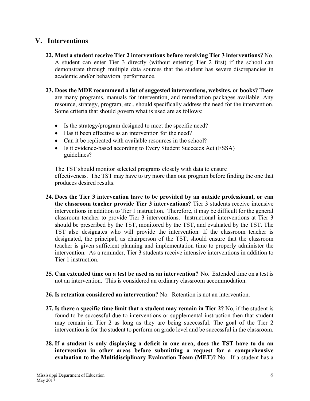#### **V. Interventions**

- **22. Must a student receive Tier 2 interventions before receiving Tier 3 interventions?** No. A student can enter Tier 3 directly (without entering Tier 2 first) if the school can demonstrate through multiple data sources that the student has severe discrepancies in academic and/or behavioral performance.
- **23. Does the MDE recommend a list of suggested interventions, websites, or books?** There are many programs, manuals for intervention, and remediation packages available. Any resource, strategy, program, etc., should specifically address the need for the intervention. Some criteria that should govern what is used are as follows:
	- Is the strategy/program designed to meet the specific need?
	- Has it been effective as an intervention for the need?
	- Can it be replicated with available resources in the school?
	- Is it evidence-based according to Every Student Succeeds Act (ESSA) guidelines?

The TST should monitor selected programs closely with data to ensure effectiveness. The TST may have to try more than one program before finding the one that produces desired results.

- **24. Does the Tier 3 intervention have to be provided by an outside professional, or can the classroom teacher provide Tier 3 interventions?** Tier 3 students receive intensive interventions in addition to Tier 1 instruction. Therefore, it may be difficult for the general classroom teacher to provide Tier 3 interventions. Instructional interventions at Tier 3 should be prescribed by the TST, monitored by the TST, and evaluated by the TST. The TST also designates who will provide the intervention. If the classroom teacher is designated, the principal, as chairperson of the TST, should ensure that the classroom teacher is given sufficient planning and implementation time to properly administer the intervention. As a reminder, Tier 3 students receive intensive interventions in addition to Tier 1 instruction.
- **25. Can extended time on a test be used as an intervention?** No. Extended time on a test is not an intervention. This is considered an ordinary classroom accommodation.
- **26. Is retention considered an intervention?** No. Retention is not an intervention.
- **27. Is there a specific time limit that a student may remain in Tier 2?** No, if the student is found to be successful due to interventions or supplemental instruction then that student may remain in Tier 2 as long as they are being successful. The goal of the Tier 2 intervention is for the student to perform on grade level and be successful in the classroom.
- **28. If a student is only displaying a deficit in one area, does the TST have to do an intervention in other areas before submitting a request for a comprehensive evaluation to the Multidisciplinary Evaluation Team (MET)?** No. If a student has a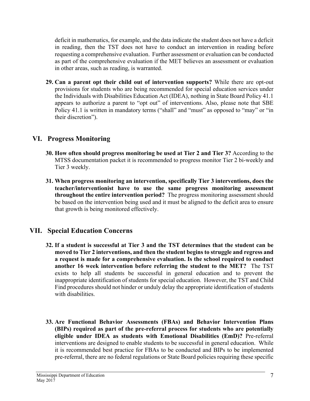deficit in mathematics, for example, and the data indicate the student does not have a deficit in reading, then the TST does not have to conduct an intervention in reading before requesting a comprehensive evaluation. Further assessment or evaluation can be conducted as part of the comprehensive evaluation if the MET believes an assessment or evaluation in other areas, such as reading, is warranted.

**29. Can a parent opt their child out of intervention supports?** While there are opt-out provisions for students who are being recommended for special education services under the Individuals with Disabilities Education Act (IDEA), nothing in State Board Policy 41.1 appears to authorize a parent to "opt out" of interventions. Also, please note that SBE Policy 41.1 is written in mandatory terms ("shall" and "must" as opposed to "may" or "in their discretion").

#### **VI. Progress Monitoring**

- **30. How often should progress monitoring be used at Tier 2 and Tier 3?** According to the MTSS documentation packet it is recommended to progress monitor Tier 2 bi-weekly and Tier 3 weekly.
- **31. When progress monitoring an intervention, specifically Tier 3 interventions, does the teacher/interventionist have to use the same progress monitoring assessment throughout the entire intervention period?** The progress monitoring assessment should be based on the intervention being used and it must be aligned to the deficit area to ensure that growth is being monitored effectively.

#### **VII. Special Education Concerns**

- **32. If a student is successful at Tier 3 and the TST determines that the student can be moved to Tier 2 interventions, and then the student begins to struggle and regress and a request is made for a comprehensive evaluation. Is the school required to conduct another 16 week intervention before referring the student to the MET?** The TST exists to help all students be successful in general education and to prevent the inappropriate identification of students for special education. However, the TST and Child Find procedures should not hinder or unduly delay the appropriate identification of students with disabilities.
- **33. Are Functional Behavior Assessments (FBAs) and Behavior Intervention Plans (BIPs) required as part of the pre-referral process for students who are potentially eligible under IDEA as students with Emotional Disabilities (EmD)?** Pre-referral interventions are designed to enable students to be successful in general education. While it is recommended best practice for FBAs to be conducted and BIPs to be implemented pre-referral, there are no federal regulations or State Board policies requiring these specific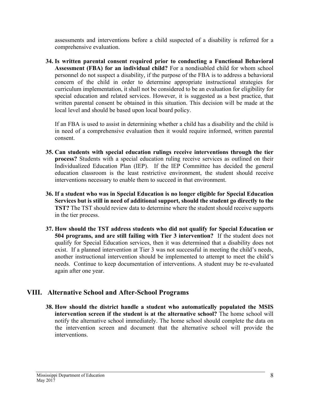assessments and interventions before a child suspected of a disability is referred for a comprehensive evaluation.

**34. Is written parental consent required prior to conducting a Functional Behavioral Assessment (FBA) for an individual child?** For a nondisabled child for whom school personnel do not suspect a disability, if the purpose of the FBA is to address a behavioral concern of the child in order to determine appropriate instructional strategies for curriculum implementation, it shall not be considered to be an evaluation for eligibility for special education and related services. However, it is suggested as a best practice, that written parental consent be obtained in this situation. This decision will be made at the local level and should be based upon local board policy.

If an FBA is used to assist in determining whether a child has a disability and the child is in need of a comprehensive evaluation then it would require informed, written parental consent.

- **35. Can students with special education rulings receive interventions through the tier process?** Students with a special education ruling receive services as outlined on their Individualized Education Plan (IEP). If the IEP Committee has decided the general education classroom is the least restrictive environment, the student should receive interventions necessary to enable them to succeed in that environment.
- **36. If a student who was in Special Education is no longer eligible for Special Education Services but is still in need of additional support, should the student go directly to the TST?** The TST should review data to determine where the student should receive supports in the tier process.
- **37. How should the TST address students who did not qualify for Special Education or 504 programs, and are still failing with Tier 3 intervention?** If the student does not qualify for Special Education services, then it was determined that a disability does not exist. If a planned intervention at Tier 3 was not successful in meeting the child's needs, another instructional intervention should be implemented to attempt to meet the child's needs. Continue to keep documentation of interventions. A student may be re-evaluated again after one year.

#### **VIII. Alternative School and After-School Programs**

**38. How should the district handle a student who automatically populated the MSIS intervention screen if the student is at the alternative school?** The home school will notify the alternative school immediately. The home school should complete the data on the intervention screen and document that the alternative school will provide the interventions.